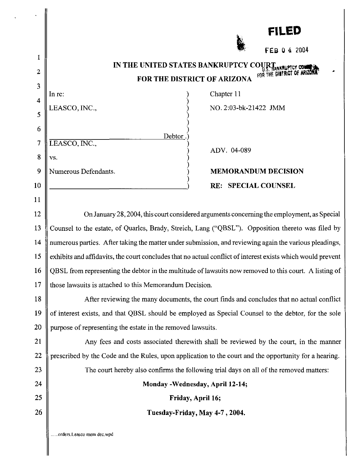|                | <b>FILED</b>                                                                                                |  |  |
|----------------|-------------------------------------------------------------------------------------------------------------|--|--|
|                | FEB 0 4 2004                                                                                                |  |  |
| 1              | IN THE UNITED STATES BANKRUPTCY COUR                                                                        |  |  |
| $\mathbf{2}$   | <b>Y U.S. HANKRUPTCY COMMISSION</b><br>FOR THE DISTRICT OF ARIZONA                                          |  |  |
| 3              | Chapter 11<br>In re:                                                                                        |  |  |
| $\overline{4}$ | LEASCO, INC.,<br>NO. 2:03-bk-21422 JMM                                                                      |  |  |
| 5              |                                                                                                             |  |  |
| 6              | Debtor                                                                                                      |  |  |
| 7              | LEASCO, INC.,<br>ADV. 04-089                                                                                |  |  |
| 8              | VS.                                                                                                         |  |  |
| 9              | Numerous Defendants.<br><b>MEMORANDUM DECISION</b>                                                          |  |  |
| 10             | RE: SPECIAL COUNSEL                                                                                         |  |  |
| 11             |                                                                                                             |  |  |
| 12             | On January 28, 2004, this court considered arguments concerning the employment, as Special                  |  |  |
| 13             | Counsel to the estate, of Quarles, Brady, Streich, Lang ("QBSL"). Opposition thereto was filed by           |  |  |
| 14             | numerous parties. After taking the matter under submission, and reviewing again the various pleadings,      |  |  |
| 15             | exhibits and affidavits, the court concludes that no actual conflict of interest exists which would prevent |  |  |
| 16             | QBSL from representing the debtor in the multitude of lawsuits now removed to this court. A listing of      |  |  |
| 17             | those lawsuits is attached to this Memorandum Decision.                                                     |  |  |
| 18             | After reviewing the many documents, the court finds and concludes that no actual conflict                   |  |  |
| 19             | of interest exists, and that QBSL should be employed as Special Counsel to the debtor, for the sole         |  |  |
| 20             | purpose of representing the estate in the removed lawsuits.                                                 |  |  |
| 21             | Any fees and costs associated therewith shall be reviewed by the court, in the manner                       |  |  |
| 22             | prescribed by the Code and the Rules, upon application to the court and the opportunity for a hearing.      |  |  |
| 23             | The court hereby also confirms the following trial days on all of the removed matters:                      |  |  |
| 24             | Monday - Wednesday, April 12-14;                                                                            |  |  |
| 25             | Friday, April 16;                                                                                           |  |  |
| 26             | Tuesday-Friday, May 4-7, 2004.                                                                              |  |  |
|                | orders.Leasco mem dec.wpd.                                                                                  |  |  |

 $\mathbf{r}$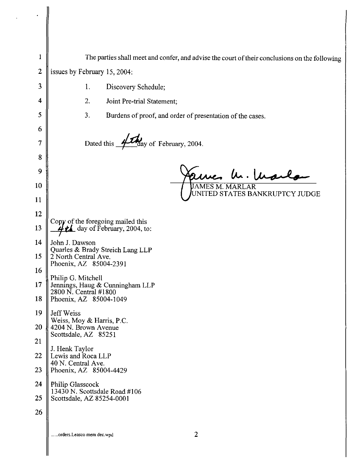| 1  | The parties shall meet and confer, and advise the court of their conclusions on the following |  |  |  |
|----|-----------------------------------------------------------------------------------------------|--|--|--|
| 2  | issues by February 15, 2004:                                                                  |  |  |  |
| 3  | 1.<br>Discovery Schedule;                                                                     |  |  |  |
| 4  | 2.<br>Joint Pre-trial Statement;                                                              |  |  |  |
| 5  | 3.<br>Burdens of proof, and order of presentation of the cases.                               |  |  |  |
| 6  |                                                                                               |  |  |  |
| 7  | day of February, 2004.<br>Dated this                                                          |  |  |  |
| 8  |                                                                                               |  |  |  |
| 9  | arnes h. Mai                                                                                  |  |  |  |
| 10 | <b>JAMES M. MARLAR</b><br>UNITED STATES BANKRUPTCY JUDGE                                      |  |  |  |
| 11 |                                                                                               |  |  |  |
| 12 | Copy of the foregoing mailed this                                                             |  |  |  |
| 13 | $\frac{L}{L}$ day of February, 2004, to:                                                      |  |  |  |
| 14 | John J. Dawson<br>Quarles & Brady Streich Lang LLP                                            |  |  |  |
| 15 | 2 North Central Ave.<br>Phoenix, AZ 85004-2391                                                |  |  |  |
| 16 | Philip G. Mitchell                                                                            |  |  |  |
| 17 | Jennings, Haug & Cunningham LLP<br>2800 N. Central #1800                                      |  |  |  |
| 18 | Phoenix, AZ 85004-1049                                                                        |  |  |  |
| 19 | Jeff Weiss<br>Weiss, Moy & Harris, P.C.                                                       |  |  |  |
| 20 | 4204 N. Brown Avenue<br>Scottsdale, AZ 85251                                                  |  |  |  |
| 21 | J. Henk Taylor                                                                                |  |  |  |
| 22 | Lewis and Roca LLP<br>40 N. Central Ave.                                                      |  |  |  |
| 23 | Phoenix, AZ 85004-4429                                                                        |  |  |  |
| 24 | Philip Glasscock<br>13430 N. Scottsdale Road #106                                             |  |  |  |
| 25 | Scottsdale, AZ 85254-0001                                                                     |  |  |  |
| 26 |                                                                                               |  |  |  |
|    | $\overline{2}$<br>orders.Leasco mem dec.wpd                                                   |  |  |  |

 $\label{eq:2.1} \frac{1}{2} \int_{\mathbb{R}^3} \frac{1}{\sqrt{2}} \, \frac{d\mathbf{x}}{d\mathbf{x}} \, d\mathbf{x}$ 

 $\parallel$ 

Ш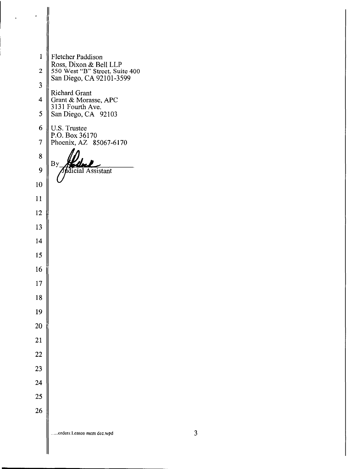1 | Fletcher Paddison Ross, Dixon & Bell LLP  $\parallel$  550 West "B" Street, Suite 400 San Diego, CA 92101-3599 Richard Grant 4 Grant & Morasse, APC 3131 Fourth Ave. 5  $\parallel$  San Diego, CA 92103 6  $\parallel$  U.S. Trustee P.O. Box 36170 7 Phoenix, AZ 85067-6170 By ddicial Assistant **......orders.Leasco mem dec.wpd** 3